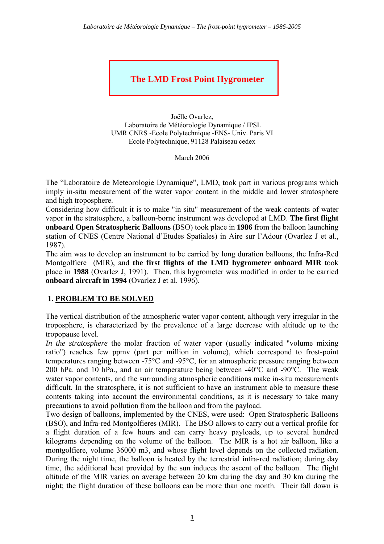# **The LMD Frost Point Hygrometer**

Joëlle Ovarlez, Laboratoire de Météorologie Dynamique / IPSL UMR CNRS -Ecole Polytechnique -ENS- Univ. Paris VI Ecole Polytechnique, 91128 Palaiseau cedex

March 2006

The "Laboratoire de Meteorologie Dynamique", LMD, took part in various programs which imply in-situ measurement of the water vapor content in the middle and lower stratosphere and high troposphere.

Considering how difficult it is to make "in situ" measurement of the weak contents of water vapor in the stratosphere, a balloon-borne instrument was developed at LMD. **The first flight onboard Open Stratospheric Balloons** (BSO) took place in **1986** from the balloon launching station of CNES (Centre National d'Etudes Spatiales) in Aire sur l'Adour (Ovarlez J et al., 1987).

The aim was to develop an instrument to be carried by long duration balloons, the Infra-Red Montgolfiere (MIR), and **the first flights of the LMD hygrometer onboard MIR** took place in **1988** (Ovarlez J, 1991). Then, this hygrometer was modified in order to be carried **onboard aircraft in 1994** (Ovarlez J et al. 1996).

#### **1. PROBLEM TO BE SOLVED**

The vertical distribution of the atmospheric water vapor content, although very irregular in the troposphere, is characterized by the prevalence of a large decrease with altitude up to the tropopause level.

*In the stratosphere* the molar fraction of water vapor (usually indicated "volume mixing") ratio") reaches few ppmv (part per million in volume), which correspond to frost-point temperatures ranging between -75°C and -95°C, for an atmospheric pressure ranging between 200 hPa. and 10 hPa., and an air temperature being between -40°C and -90°C. The weak water vapor contents, and the surrounding atmospheric conditions make in-situ measurements difficult. In the stratosphere, it is not sufficient to have an instrument able to measure these contents taking into account the environmental conditions, as it is necessary to take many precautions to avoid pollution from the balloon and from the payload.

Two design of balloons, implemented by the CNES, were used: Open Stratospheric Balloons (BSO), and Infra-red Montgolfieres (MIR). The BSO allows to carry out a vertical profile for a flight duration of a few hours and can carry heavy payloads, up to several hundred kilograms depending on the volume of the balloon. The MIR is a hot air balloon, like a montgolfiere, volume 36000 m3, and whose flight level depends on the collected radiation. During the night time, the balloon is heated by the terrestrial infra-red radiation; during day time, the additional heat provided by the sun induces the ascent of the balloon. The flight altitude of the MIR varies on average between 20 km during the day and 30 km during the night; the flight duration of these balloons can be more than one month. Their fall down is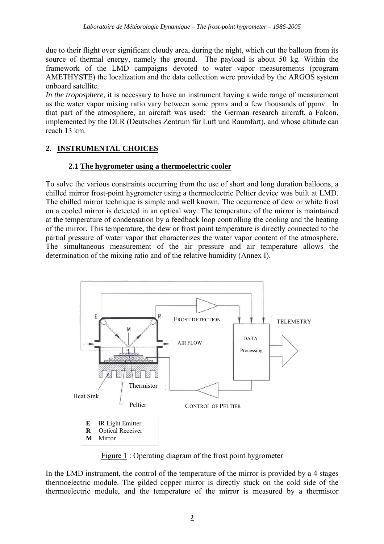due to their flight over significant cloudy area, during the night, which cut the balloon from its source of thermal energy, namely the ground. The payload is about 50 kg. Within the framework of the LMD campaigns devoted to water vapor measurements (program AMETHYSTE) the localization and the data collection were provided by the ARGOS system onboard satellite.

*In the troposphere*, it is necessary to have an instrument having a wide range of measurement as the water vapor mixing ratio vary between some ppmv and a few thousands of ppmv. In that part of the atmosphere, an aircraft was used: the German research aircraft, a Falcon, implemented by the DLR (Deutsches Zentrum für Luft und Raumfart), and whose altitude can reach 13 km.

# **2. INSTRUMENTAL CHOICES**

## **2.1 The hygrometer using a thermoelectric cooler**

To solve the various constraints occurring from the use of short and long duration balloons, a chilled mirror frost-point hygrometer using a thermoelectric Peltier device was built at LMD. The chilled mirror technique is simple and well known. The occurrence of dew or white frost on a cooled mirror is detected in an optical way. The temperature of the mirror is maintained at the temperature of condensation by a feedback loop controlling the cooling and the heating of the mirror. This temperature, the dew or frost point temperature is directly connected to the partial pressure of water vapor that characterizes the water vapor content of the atmosphere. The simultaneous measurement of the air pressure and air temperature allows the determination of the mixing ratio and of the relative humidity (Annex I).



Figure 1 : Operating diagram of the frost point hygrometer

In the LMD instrument, the control of the temperature of the mirror is provided by a 4 stages thermoelectric module. The gilded copper mirror is directly stuck on the cold side of the thermoelectric module, and the temperature of the mirror is measured by a thermistor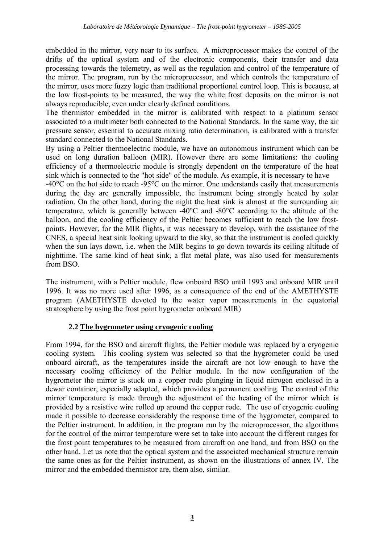embedded in the mirror, very near to its surface. A microprocessor makes the control of the drifts of the optical system and of the electronic components, their transfer and data processing towards the telemetry, as well as the regulation and control of the temperature of the mirror. The program, run by the microprocessor, and which controls the temperature of the mirror, uses more fuzzy logic than traditional proportional control loop. This is because, at the low frost-points to be measured, the way the white frost deposits on the mirror is not always reproducible, even under clearly defined conditions.

The thermistor embedded in the mirror is calibrated with respect to a platinum sensor associated to a multimeter both connected to the National Standards. In the same way, the air pressure sensor, essential to accurate mixing ratio determination, is calibrated with a transfer standard connected to the National Standards.

By using a Peltier thermoelectric module, we have an autonomous instrument which can be used on long duration balloon (MIR). However there are some limitations: the cooling efficiency of a thermoelectric module is strongly dependent on the temperature of the heat sink which is connected to the "hot side" of the module. As example, it is necessary to have

-40°C on the hot side to reach -95°C on the mirror. One understands easily that measurements during the day are generally impossible, the instrument being strongly heated by solar radiation. On the other hand, during the night the heat sink is almost at the surrounding air temperature, which is generally between -40°C and -80°C according to the altitude of the balloon, and the cooling efficiency of the Peltier becomes sufficient to reach the low frostpoints. However, for the MIR flights, it was necessary to develop, with the assistance of the CNES, a special heat sink looking upward to the sky, so that the instrument is cooled quickly when the sun lays down, i.e. when the MIR begins to go down towards its ceiling altitude of nighttime. The same kind of heat sink, a flat metal plate, was also used for measurements from BSO.

The instrument, with a Peltier module, flew onboard BSO until 1993 and onboard MIR until 1996. It was no more used after 1996, as a consequence of the end of the AMETHYSTE program (AMETHYSTE devoted to the water vapor measurements in the equatorial stratosphere by using the frost point hygrometer onboard MIR)

## **2.2 The hygrometer using cryogenic cooling**

From 1994, for the BSO and aircraft flights, the Peltier module was replaced by a cryogenic cooling system. This cooling system was selected so that the hygrometer could be used onboard aircraft, as the temperatures inside the aircraft are not low enough to have the necessary cooling efficiency of the Peltier module. In the new configuration of the hygrometer the mirror is stuck on a copper rode plunging in liquid nitrogen enclosed in a dewar container, especially adapted, which provides a permanent cooling. The control of the mirror temperature is made through the adjustment of the heating of the mirror which is provided by a resistive wire rolled up around the copper rode. The use of cryogenic cooling made it possible to decrease considerably the response time of the hygrometer, compared to the Peltier instrument. In addition, in the program run by the microprocessor, the algorithms for the control of the mirror temperature were set to take into account the different ranges for the frost point temperatures to be measured from aircraft on one hand, and from BSO on the other hand. Let us note that the optical system and the associated mechanical structure remain the same ones as for the Peltier instrument, as shown on the illustrations of annex IV. The mirror and the embedded thermistor are, them also, similar.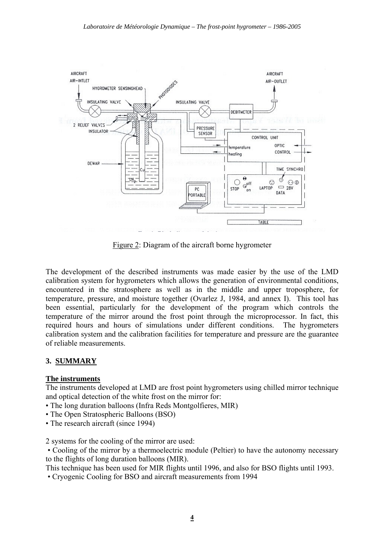

Figure 2: Diagram of the aircraft borne hygrometer

The development of the described instruments was made easier by the use of the LMD calibration system for hygrometers which allows the generation of environmental conditions, encountered in the stratosphere as well as in the middle and upper troposphere, for temperature, pressure, and moisture together (Ovarlez J, 1984, and annex I). This tool has been essential, particularly for the development of the program which controls the temperature of the mirror around the frost point through the microprocessor. In fact, this required hours and hours of simulations under different conditions. The hygrometers calibration system and the calibration facilities for temperature and pressure are the guarantee of reliable measurements.

## **3. SUMMARY**

#### **The instruments**

The instruments developed at LMD are frost point hygrometers using chilled mirror technique and optical detection of the white frost on the mirror for:

- The long duration balloons (Infra Reds Montgolfieres, MIR)
- The Open Stratospheric Balloons (BSO)
- The research aircraft (since 1994)

2 systems for the cooling of the mirror are used:

 • Cooling of the mirror by a thermoelectric module (Peltier) to have the autonomy necessary to the flights of long duration balloons (MIR).

This technique has been used for MIR flights until 1996, and also for BSO flights until 1993.

• Cryogenic Cooling for BSO and aircraft measurements from 1994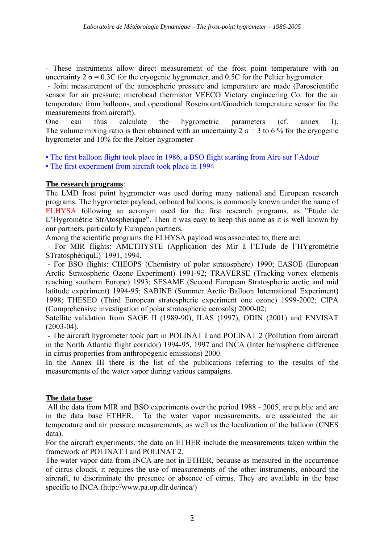- These instruments allow direct measurement of the frost point temperature with an uncertainty  $2 \sigma = 0.3C$  for the cryogenic hygrometer, and 0.5C for the Peltier hygrometer.

 - Joint measurement of the atmospheric pressure and temperature are made (Paroscientific sensor for air pressure; microbead thermistor VEECO Victory engineering Co. for the air temperature from balloons, and operational Rosemount/Goodrich temperature sensor for the measurements from aircraft).

One can thus calculate the hygrometric parameters (cf. annex I). The volume mixing ratio is then obtained with an uncertainty  $2 \sigma = 3$  to 6 % for the cryogenic hygrometer and 10% for the Peltier hygrometer

- The first balloon flight took place in 1986, a BSO flight starting from Aire sur l'Adour
- The first experiment from aircraft took place in 1994

## **The research programs**:

The LMD frost point hygrometer was used during many national and European research programs. The hygrometer payload, onboard balloons, is commonly known under the name of ELHYSA following an acronym used for the first research programs, as "Etude de L'Hygrométrie StrAtospherique". Then it was easy to keep this name as it is well known by our partners, particularly European partners.

Among the scientific programs the ELHYSA payload was associated to, there are:

 - For MIR flights: AMETHYSTE (Application des Mir à l'ETude de l'HYgrométrie STratosphériquE) 1991, 1994.

 - For BSO flights: CHEOPS (Chemistry of polar stratosphere) 1990; EASOE (European Arctic Stratospheric Ozone Experiment) 1991-92; TRAVERSE (Tracking vortex elements reaching southern Europe) 1993; SESAME (Second European Stratospheric arctic and mid latitude experiment) 1994-95; SABINE (Summer Arctic Balloon International Experiment) 1998; THESEO (Third European stratospheric experiment one ozone) 1999-2002; CIPA (Comprehensive investigation of polar stratospheric aerosols) 2000-02;

Satellite validation from SAGE II (1989-90), ILAS (1997), ODIN (2001) and ENVISAT  $(2003-04)$ .

 - The aircraft hygrometer took part in POLINAT I and POLINAT 2 (Pollution from aircraft in the North Atlantic flight corridor) 1994-95, 1997 and INCA (Inter hemispheric difference in cirrus properties from anthropogenic emissions) 2000.

In the Annex III there is the list of the publications referring to the results of the measurements of the water vapor during various campaigns.

#### **The data base**:

 All the data from MIR and BSO experiments over the period 1988 - 2005, are public and are in the data base ETHER. To the water vapor measurements, are associated the air temperature and air pressure measurements, as well as the localization of the balloon (CNES data).

For the aircraft experiments, the data on ETHER include the measurements taken within the framework of POLINAT I and POLINAT 2.

The water vapor data from INCA are not in ETHER, because as measured in the occurrence of cirrus clouds, it requires the use of measurements of the other instruments, onboard the aircraft, to discriminate the presence or absence of cirrus. They are available in the base specific to INCA (http://www.pa.op.dlr.de/inca/)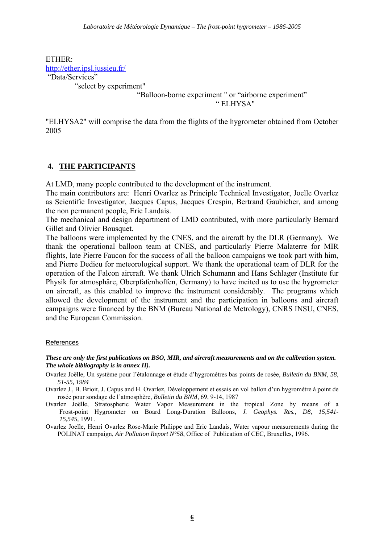ETHER: http://ether.ipsl.jussieu.fr/ "Data/Services"

"select by experiment"

 "Balloon-borne experiment " or "airborne experiment" " ELHYSA"

"ELHYSA2" will comprise the data from the flights of the hygrometer obtained from October 2005

## **4. THE PARTICIPANTS**

At LMD, many people contributed to the development of the instrument.

The main contributors are: Henri Ovarlez as Principle Technical Investigator, Joelle Ovarlez as Scientific Investigator, Jacques Capus, Jacques Crespin, Bertrand Gaubicher, and among the non permanent people, Eric Landais.

The mechanical and design department of LMD contributed, with more particularly Bernard Gillet and Olivier Bousquet.

The balloons were implemented by the CNES, and the aircraft by the DLR (Germany). We thank the operational balloon team at CNES, and particularly Pierre Malaterre for MIR flights, late Pierre Faucon for the success of all the balloon campaigns we took part with him, and Pierre Dedieu for meteorological support. We thank the operational team of DLR for the operation of the Falcon aircraft. We thank Ulrich Schumann and Hans Schlager (Institute fur Physik for atmosphäre, Oberpfafenhoffen, Germany) to have incited us to use the hygrometer on aircraft, as this enabled to improve the instrument considerably. The programs which allowed the development of the instrument and the participation in balloons and aircraft campaigns were financed by the BNM (Bureau National de Metrology), CNRS INSU, CNES, and the European Commission.

#### References

#### *These are only the first publications on BSO, MIR, and aircraft measurements and on the calibration system. The whole bibliography is in annex II).*

- Ovarlez Joëlle, Un système pour l'étalonnage et étude d'hygromètres bas points de rosée, *Bulletin du BNM, 58, 51-55, 1984*
- Ovarlez J., B. Brioit, J. Capus and H. Ovarlez, Développement et essais en vol ballon d'un hygromètre à point de rosée pour sondage de l'atmosphère, *Bulletin du BNM*, 69, 9-14, 1987
- Ovarlez Joëlle, Stratospheric Water Vapor Measurement in the tropical Zone by means of a Frost-point Hygrometer on Board Long-Duration Balloons*, J. Geophys. Res., D8, 15,541- 15,545,* 1991.
- Ovarlez Joelle, Henri Ovarlez Rose-Marie Philippe and Eric Landais, Water vapour measurements during the POLINAT campaign, *Air Pollution Report N°58*, Office of Publication of CEC, Bruxelles, 1996.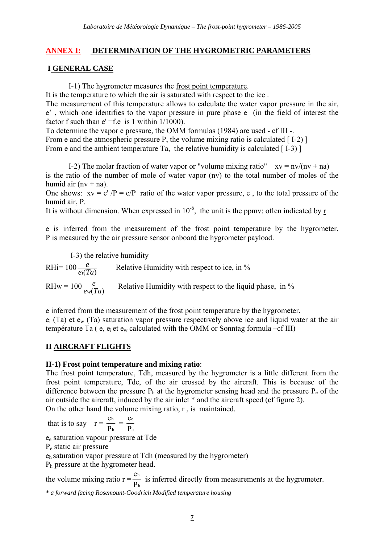## **ANNEX I: DETERMINATION OF THE HYGROMETRIC PARAMETERS**

## **I GENERAL CASE**

I-1) The hygrometer measures the frost point temperature.

It is the temperature to which the air is saturated with respect to the ice .

The measurement of this temperature allows to calculate the water vapor pressure in the air, e' , which one identifies to the vapor pressure in pure phase e (in the field of interest the factor f such than  $e' = f.e$  is 1 within  $1/1000$ ).

To determine the vapor e pressure, the OMM formulas (1984) are used - cf III -.

From e and the atmospheric pressure P, the volume mixing ratio is calculated  $[1-2]$ 

From e and the ambient temperature Ta, the relative humidity is calculated  $[1-3]$ 

I-2) The molar fraction of water vapor or "volume mixing ratio"  $xy = nv/(nv + na)$ is the ratio of the number of mole of water vapor (nv) to the total number of moles of the humid air  $(nv + na)$ .

One shows:  $xy = e'/P = e/P$  ratio of the water vapor pressure, e, to the total pressure of the humid air, P.

It is without dimension. When expressed in  $10^{-6}$ , the unit is the ppmy; often indicated by r

e is inferred from the measurement of the frost point temperature by the hygrometer. P is measured by the air pressure sensor onboard the hygrometer payload.

I-3) the relative humidity

 $R$ Hi= 100 $\frac{e}{ei(Ta)}$  $\frac{e}{i(Ta)}$  Relative Humidity with respect to ice, in %  $RHw = 100 \frac{e}{ew(Ta)}$  $\frac{e}{w(Ta)}$  Relative Humidity with respect to the liquid phase, in %

e inferred from the measurement of the frost point temperature by the hygrometer.  $e_i$  (Ta) et  $e_w$  (Ta) saturation vapor pressure respectively above ice and liquid water at the air température Ta ( $e$ ,  $e_i$  et  $e_w$  calculated with the OMM or Sonntag formula –cf III)

#### **II AIRCRAFT FLIGHTS**

#### **II-1) Frost point temperature and mixing ratio**:

The frost point temperature, Tdh, measured by the hygrometer is a little different from the frost point temperature, Tde, of the air crossed by the aircraft. This is because of the difference between the pressure  $P_h$  at the hygrometer sensing head and the pressure  $P_e$  of the air outside the aircraft, induced by the air inlet \* and the aircraft speed (cf figure 2).

On the other hand the volume mixing ratio, r , is maintained.

that is to say  $r = \frac{e}{R}$ P h  $\frac{1}{h}$  = e P e e

ee saturation vapour pressure at Tde

Pe static air pressure

eh saturation vapor pressure at Tdh (measured by the hygrometer)

Ph pressure at the hygrometer head.

the volume mixing ratio  $r = \frac{e}{R}$ P h  $\frac{1}{h}$  is inferred directly from measurements at the hygrometer.

*\* a forward facing Rosemount-Goodrich Modified temperature housing*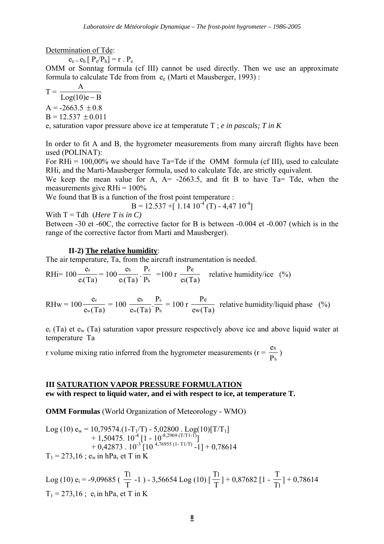Determination of Tde:

 $e_e = e_h [P_e/P_h] = r \cdot P_e$ 

OMM or Sonntag formula (cf III) cannot be used directly. Then we use an approximate formula to calculate Tde from from  $e_e$  (Marti et Mausberger, 1993) :

$$
T = \frac{A}{Log(10)e - B}
$$
  
A = -2663.5 ± 0.8  
B = 12.537 ± 0.011

e, saturation vapor pressure above ice at temperatute T ; *e in pascals; T in K* 

In order to fit A and B, the hygrometer measurements from many aircraft flights have been used (POLINAT):

For RHi =  $100,00\%$  we should have Ta=Tde if the OMM formula (cf III), used to calculate RHi, and the Marti-Mausberger formula, used to calculate Tde, are strictly equivalent.

We keep the mean value for A,  $A = -2663.5$ , and fit B to have Ta= Tde, when the measurements give  $RHi = 100\%$ 

We found that B is a function of the frost point temperature :

 $B = 12.537 + [ 1.14 10<sup>-4</sup> (T) - 4.47 10<sup>-4</sup> ]$ 

With  $T = Tdh$  (*Here T* is in *C*)

Between -30 et -60C, the corrective factor for B is between -0.004 et -0.007 (which is in the range of the corrective factor from Marti and Mausberger).

#### **II-2) The relative humidity**:

The air temperature, Ta, from the aircraft instrumentation is needed.

$$
RHi = 100 \frac{e_e}{e_i(Ta)} = 100 \frac{e_h}{e_i(Ta)} \cdot \frac{P_e}{P_h} = 100 \text{ r } \frac{P_e}{e_i(Ta)} \quad \text{relative humidity/ice} \quad (*)
$$

 $RHw = 100$ e e<sub>w</sub>(Ta  $\frac{e_e}{w(Ta)} = 100$ e e<sub>w</sub>(Ta P P h w e  $(Ta)$   $P<sub>h</sub>$  $\frac{12}{R}$  = 100 r P ew(Ta  $\frac{\text{Pe}}{\text{w(Ta)}}$  relative humidity/liquid phase (%)

 $e_i$  (Ta) et  $e_w$  (Ta) saturation vapor pressure respectively above ice and above liquid water at temperature Ta

r volume mixing ratio inferred from the hygrometer measurements ( $r = \frac{e}{R}$ P h  $\frac{1}{h}$ )

#### **III SATURATION VAPOR PRESSURE FORMULATION**

**ew with respect to liquid water, and ei with respect to ice, at temperature T.** 

**OMM Formulas** (World Organization of Meteorology - WMO)

Log (10) 
$$
e_w = 10,79574.(1-T_1/T) - 5,02800
$$
. Log(10)[T/T<sub>1</sub>]  
+ 1,50475. 10<sup>-4</sup> [1 - 10<sup>-8,2969</sup> (T/T1-1)]  
+ 0,42873. 10<sup>-3</sup> [10<sup>-4,76955</sup> (1-T1/T) -1] + 0,78614  
T<sub>1</sub> = 273,16 ;  $e_w$  in hPa, et T in K

Log (10) 
$$
e_i
$$
 = -9,09685 ( $\frac{T_1}{T}$  -1) - 3,56654 Log (10) [ $\frac{T_1}{T}$ ] + 0,87682 [1 -  $\frac{T}{T_1}$ ] + 0,78614  
T<sub>1</sub> = 273,16 ;  $e_i$  in hPa, et T in K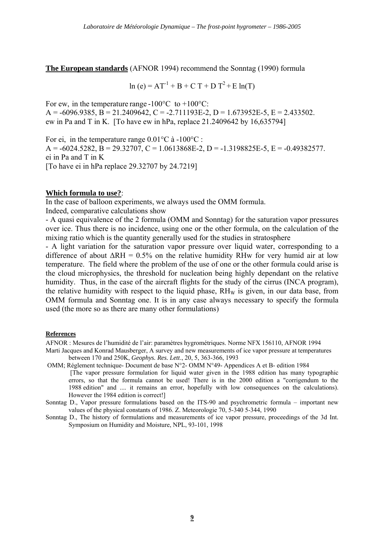**The European standards** (AFNOR 1994) recommend the Sonntag (1990) formula

 $\ln (e) = AT^{-1} + B + C T + D T^2 + E \ln(T)$ 

For ew, in the temperature range  $-100^{\circ}$ C to  $+100^{\circ}$ C:  $A = -6096.9385$ ,  $B = 21.2409642$ ,  $C = -2.711193E-2$ ,  $D = 1.673952E-5$ ,  $E = 2.433502$ . ew in Pa and T in K. [To have ew in hPa, replace 21.2409642 by 16,635794]

For ei, in the temperature range  $0.01^{\circ}$ C à -100 $^{\circ}$ C :  $A = -6024.5282$ ,  $B = 29.32707$ ,  $C = 1.0613868E-2$ ,  $D = -1.3198825E-5$ ,  $E = -0.49382577$ . ei in Pa and T in K [To have ei in hPa replace 29.32707 by 24.7219]

#### **Which formula to use?**:

In the case of balloon experiments, we always used the OMM formula. Indeed, comparative calculations show

- A quasi equivalence of the 2 formula (OMM and Sonntag) for the saturation vapor pressures over ice. Thus there is no incidence, using one or the other formula, on the calculation of the mixing ratio which is the quantity generally used for the studies in stratosphere

- A light variation for the saturation vapor pressure over liquid water, corresponding to a difference of about  $\Delta RH = 0.5\%$  on the relative humidity RHw for very humid air at low temperature. The field where the problem of the use of one or the other formula could arise is the cloud microphysics, the threshold for nucleation being highly dependant on the relative humidity. Thus, in the case of the aircraft flights for the study of the cirrus (INCA program), the relative humidity with respect to the liquid phase,  $RH_W$  is given, in our data base, from OMM formula and Sonntag one. It is in any case always necessary to specify the formula used (the more so as there are many other formulations)

#### **References**

AFNOR : Mesures de l'humidité de l'air: paramètres hygrométriques. Norme NFX 156110, AFNOR 1994

- Marti Jacques and Konrad Mausberger, A survey and new measurements of ice vapor pressure at temperatures between 170 and 250K, *Geophys. Res. Lett*., 20, 5, 363-366, 1993
- OMM; Réglement technique- Document de base N°2- OMM N°49- Appendices A et B- edition 1984 [The vapor pressure formulation for liquid water given in the 1988 edition has many typographic errors, so that the formula cannot be used! There is in the 2000 edition a "corrigendum to the 1988 edition" and .... it remains an error, hopefully with low consequences on the calculations). However the 1984 edition is correct!]
- Sonntag D., Vapor pressure formulations based on the ITS-90 and psychrometric formula important new values of the physical constants of 1986. Z. Meteorologie 70, 5-340 5-344, 1990
- Sonntag D., The history of formulations and measurements of ice vapor pressure, proceedings of the 3d Int. Symposium on Humidity and Moisture, NPL, 93-101, 1998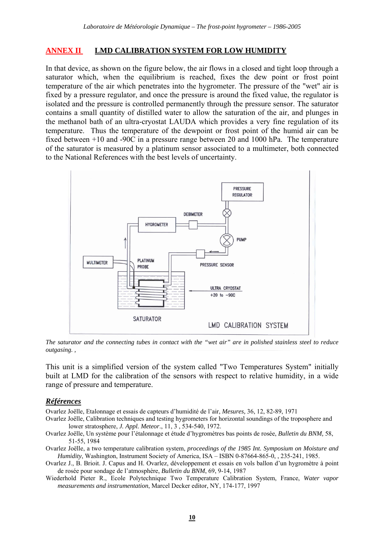#### **ANNEX II LMD CALIBRATION SYSTEM FOR LOW HUMIDITY**

In that device, as shown on the figure below, the air flows in a closed and tight loop through a saturator which, when the equilibrium is reached, fixes the dew point or frost point temperature of the air which penetrates into the hygrometer. The pressure of the "wet" air is fixed by a pressure regulator, and once the pressure is around the fixed value, the regulator is isolated and the pressure is controlled permanently through the pressure sensor. The saturator contains a small quantity of distilled water to allow the saturation of the air, and plunges in the methanol bath of an ultra-cryostat LAUDA which provides a very fine regulation of its temperature. Thus the temperature of the dewpoint or frost point of the humid air can be fixed between +10 and -90C in a pressure range between 20 and 1000 hPa. The temperature of the saturator is measured by a platinum sensor associated to a multimeter, both connected to the National References with the best levels of uncertainty.



*The saturator and the connecting tubes in contact with the "wet air" are in polished stainless steel to reduce outgasing. ,* 

This unit is a simplified version of the system called "Two Temperatures System" initially built at LMD for the calibration of the sensors with respect to relative humidity, in a wide range of pressure and temperature.

#### *Références*

Ovarlez Joëlle, Etalonnage et essais de capteurs d'humidité de l'air, *Mesures,* 36, 12, 82-89, 1971

- Ovarlez Joëlle, Calibration techniques and testing hygrometers for horizontal soundings of the troposphere and lower stratosphere, *J. Appl. Meteor*., 11, 3 , 534-540, 1972.
- Ovarlez Joëlle, Un système pour l'étalonnage et étude d'hygromètres bas points de rosée, *Bulletin du BNM,* 58, 51-55, 1984
- Ovarlez Joëlle, a two temperature calibration system, *proceedings of the 1985 Int. Symposium on Moisture and Humidity*, Washington, Instrument Society of America, ISA – ISBN 0-87664-865-0, , 235-241, 1985.
- Ovarlez J., B. Brioit. J. Capus and H. Ovarlez, développement et essais en vols ballon d'un hygromètre à point de rosée pour sondage de l'atmosphère, *Bulletin du BNM*, 69, 9-14, 1987
- Wiederhold Pieter R., Ecole Polytechnique Two Temperature Calibration System, France, *Water vapor measurements and instrumentation*, Marcel Decker editor, NY, 174-177, 1997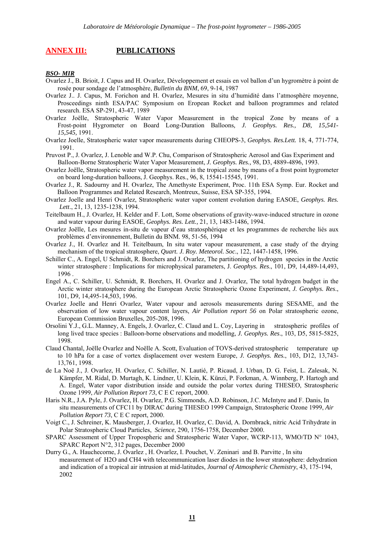#### **ANNEX III: PUBLICATIONS**

#### *BSO- MIR*

- Ovarlez J., B. Brioit, J. Capus and H. Ovarlez, Développement et essais en vol ballon d'un hygromètre à point de rosée pour sondage de l'atmosphère, *Bulletin du BNM*, 69, 9-14, 1987
- Ovarlez J.. J. Capus, M. Forichon and H. Ovarlez, Mesures in situ d'humidité dans l'atmosphère moyenne, Prosceedings ninth ESA/PAC Symposium on Eropean Rocket and balloon programmes and related research. ESA SP-291, 43-47, 1989
- Ovarlez Joëlle, Stratospheric Water Vapor Measurement in the tropical Zone by means of a Frost-point Hygrometer on Board Long-Duration Balloons*, J. Geophys. Res., D8, 15,541- 15,545,* 1991.
- Ovarlez Joelle, Stratospheric water vapor measurements during CHEOPS-3, *Geophys. Res.Lett.* 18, 4, 771-774, 1991.
- Pruvost P., J. Ovarlez, J. Lenoble and W.P. Chu, Comparison of Stratospheric Aerosol and Gas Experiment and Balloon-Borne Stratospheric Water Vapor Measurement, *J. Geophys. Res.,* 98, D3, 4889-4896, 1993.
- Ovarlez Joëlle, Stratospheric water vapor measurement in the tropical zone by means of a frost point hygrometer on board long-duration balloons, J. Geophys. Res., 96, 8, 15541-15545, 1991.
- Ovarlez J., R. Sadourny and H. Ovarlez, The Amethyste Experiment, Proc. 11th ESA Symp. Eur. Rocket and Balloon Programmes and Related Research, Montreux, Suisse, ESA SP-355, 1994.
- Ovarlez Joelle and Henri Ovarlez, Stratospheric water vapor content evolution during EASOE, *Geophys. Res. Lett*., 21, 13, 1235-1238, 1994.
- Teitelbaum H., J. Ovarlez, H. Kelder and F. Lott, Some observations of gravity-wave-induced structure in ozone and water vapour during EASOE, *Geophys. Res. Lett.,* 21, 13, 1483-1486, 1994.
- Ovarlez Joëlle, Les mesures in-situ de vapeur d'eau stratosphérique et les programmes de recherche liés aux problèmes d'environnement, Bulletin du BNM. 98, 51-56, 1994
- Ovarlez J., H. Ovarlez and H. Teitelbaum, In situ water vapour measurement, a case study of the drying mechanism of the tropical stratosphere, *Quart. J. Roy. Meteorol. Soc*., 122, 1447-1458, 1996.
- Schiller C., A. Engel, U Schmidt, R. Borchers and J. Ovarlez, The partitioning of hydrogen species in the Arctic winter stratosphere : Implications for microphysical parameters, J. *Geophys. Res*., 101, D9, 14,489-14,493, 1996 .
- Engel A., C. Schiller, U. Schmidt, R. Borchers, H. Ovarlez and J. Ovarlez, The total hydrogen budget in the Arctic winter stratosphere during the European Arctic Stratospheric Ozone Experiment, *J. Geophys. Res*., 101, D9, 14,495-14,503, 1996.
- Ovarlez Joelle and Henri Ovarlez, Water vapour and aerosols measurements during SESAME, and the observation of low water vapour content layers, *Air Pollution report 56* on Polar stratospheric ozone, European Commission Bruxelles, 205-208, 1996.
- Orsolini Y.J., G.L. Manney, A. Engels, J. Ovarlez, C. Claud and L. Coy, Layering in stratospheric profiles of long lived trace species : Balloon-borne observations and modelling, *J. Geophys. Res*., 103, D5, 5815-5825, 1998.
- Claud Chantal, Joëlle Ovarlez and Noëlle A. Scott, Evaluation of TOVS-derived stratospheric temperature up to 10 hPa for a case of vortex displacement over western Europe, *J. Geophys. Res.*, 103, D12, 13,743- 13,761, 1998.
- de La Noë J., J. Ovarlez, H. Ovarlez, C. Schiller, N. Lautié, P. Ricaud, J. Urban, D. G. Feist, L. Zalesak, N. Kämpfer, M. Ridal, D. Murtagh, K. Lindner, U. Klein, K. Künzi, P. Forkman, A. Winnberg, P. Hartogh and A. Engel, Water vapor distribution inside and outside the polar vortex during THESEO, Stratospheric Ozone 1999, *Air Pollution Report 73*, C E C report, 2000.
- Haris N.R., J.A. Pyle, J. Ovarlez, H. Ovarlez, P.G. Simmonds, A.D. Robinson, J.C. McIntyre and F. Danis, In situ measurements of CFC11 by DIRAC during THESEO 1999 Campaign, Stratospheric Ozone 1999, *Air Pollution Report 73*, C E C report, 2000.
- Voigt C., J. Schreiner, K. Mausberger, J. Ovarlez, H. Ovarlez, C. David, A. Dornbrack, nitric Acid Trihydrate in Polar Stratospheric Cloud Particles, *Science*, 290, 1756-1758, December 2000.
- SPARC Assessment of Upper Tropospheric and Stratospheric Water Vapor, WCRP-113, WMO/TD N° 1043, SPARC Report N°2, 312 pages, December 2000
- Durry G., A. Hauchecorne, J. Ovarlez , H. Ovarlez, I. Pouchet, V. Zeninari and B. Parvitte , In situ measurement of H2O and CH4 with telecommunication laser diodes in the lower stratosphere: dehydration and indication of a tropical air intrusion at mid-latitudes, *Journal of Atmospheric Chemistry*, 43, 175-194, 2002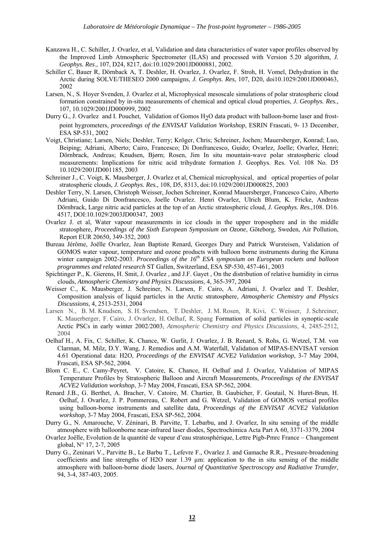- Kanzawa H., C. Schiller, J. Ovarlez, et al, Validation and data characteristics of water vapor profiles observed by the Improved Limb Atmospheric Spectrometer (ILAS) and processed with Version 5.20 algorithm, *J. Geophys. Res*., 107, D24, 8217, doi:10.1029/2001JD000881, 2002.
- Schiller C, Bauer R, Dörnback A, T. Deshler, H. Ovarlez, J. Ovarlez, F. Stroh, H. Vomel, Dehydration in the Arctic during SOLVE/THESEO 2000 campaigns, *J. Geophys. Res*, 107, D20, doi10.1029/2001JD000463, 2002
- Larsen, N., S. Hoyer Svenden, J. Ovarlez et al, Microphysical mesoscale simulations of polar stratospheric cloud formation constrained by in-situ measurements of chemical and optical cloud properties, *J. Geophys. Res.,*  107, 10.1029/2001JD000999, 2002
- Durry G., J. Ovarlez and I. Pouchet, Validation of Gomos H2O data product with balloon-borne laser and frostpoint hygrometers, *proceedings of the ENVISAT Validation Workshop*, ESRIN Frascati, 9- 13 December, ESA SP-531, 2002
- Voigt, Christiane; Larsen, Niels; Deshler, Terry; Kröger, Chris; Schreiner, Jochen; Mauersberger, Konrad; Luo, Beiping; Adriani, Alberto; Cairo, Francesco; Di Donfrancesco, Guido; Ovarlez, Joelle; Ovarlez, Henri; Dörnbrack, Andreas; Knudsen, Bjørn; Rosen, Jim In situ mountain-wave polar stratospheric cloud measurements: Implications for nitric acid trihydrate formation J. Geophys. Res. Vol. 108 No. D5 10.1029/2001JD001185, 2003
- Schreiner J., C. Voigt, K. Mausberger, J. Ovarlez et al, Chemical microphysical, and optical properties of polar stratospheric clouds, *J. Geophys. Res.,* 108, D5, 8313, doi:10.1029/2001JD000825, 2003
- Deshler Terry, N. Larsen, Christoph Weisser, Jochen Schreiner, Konrad Mauersberger, Francesco Cairo, Alberto Adriani, Guido Di Donfrancesco, Joelle Ovarlez. Henri Ovarlez, Ulrich Blum, K. Fricke, Andreas Dörnbrack, Large nitric acid particles at the top of an Arctic stratospheric cloud, *J. Geophys. Res.,*108. D16. 4517, DOI:10.1029/2003JD00347, 2003
- Ovarlez J. et al, Water vapour measurements in ice clouds in the upper troposphere and in the middle stratosphere, *Proceedings of the Sixth European Symposium on Ozone*, Göteborg, Sweden, Air Pollution, Report EUR 20650, 349-352, 2003
- Bureau Jérôme, Joëlle Ovarlez, Jean Baptiste Renard, Georges Dury and Patrick Wursteisen, Validation of GOMOS water vapour, temperature and ozone products with balloon borne instruments during the Kiruna winter campaign 2002-2003. *Proceedings of the 16th ESA symposium on European rockets and balloon programmes and related research* ST Gallen, Switzerland, ESA SP-530, 457-461, 2003
- Spichtinger P., K. Gierens, H. Smit, J. Ovarlez , and J.F. Gayet , On the distribution of relative humidity in cirrus clouds, *Atmospheric Chemistry and Physics Discussions*, 4, 365-397, 2004
- Weisser C., K. Mausberger, J. Schreiner, N. Larsen, F. Cairo, A. Adriani, J. Ovarlez and T. Deshler, Composition analysis of liquid particles in the Arctic stratosphere, *Atmospheric Chemistry and Physics Discussions*, 4, 2513-2531, 2004
- Larsen N., B. M. Knudsen, S. H. Svendsen, T. Deshler, J. M. Rosen, R. Kivi, C. Weisser, J. Schreiner, K. Mauerberger, F. Cairo, J. Ovarlez, H. Oelhaf, R. Spang Formation of solid particles in synoptic-scale Arctic PSCs in early winter 2002/2003*, Atmospheric Chemistry and Physics Discussions*, 4, 2485-2512, 2004
- Oelhaf H., A. Fix, C. Schiller, K. Chance, W. Gurlit, J. Ovarlez, J. B. Renard, S. Rohs, G. Wetzel, T.M. von Clarman, M. Milz, D.Y. Wang, J. Remedios and A.M. Waterfall, Validation of MIPAS-ENVISAT version 4.61 Operational data: H2O, *Proceedings of the ENVISAT ACVE2 Validation workshop*, 3-7 May 2004, Frascati, ESA SP-562, 2004.
- Blom C. E., C. Camy-Peyret, V. Catoire, K. Chance, H. Oelhaf and J. Ovarlez, Validation of MIPAS Temperature Profiles by Stratospheric Balloon and Aircraft Measurements, *Proceedings of the ENVISAT ACVE2 Validation workshop*, 3-7 May 2004, Frascati, ESA SP-562, 2004.
- Renard J.B., G. Berthet, A. Bracher, V. Catoire, M. Chartier, B. Gaubicher, F. Goutail, N. Huret-Brun, H. Oelhaf, J. Ovarlez, J. P. Pommereau, C. Robert and G. Wetzel, Validation of GOMOS vertical profiles using balloon-borne instruments and satellite data, *Proceedings of the ENVISAT ACVE2 Validation workshop*, 3-7 May 2004, Frascati, ESA SP-562, 2004.
- Durry G., N. Amarouche, V. Zéninari, B. Parvitte, T. Lebarbu, and J. Ovarlez, In situ sensing of the middle atmosphere with balloonborne near-infrared laser diodes, Spectrochimica Acta Part A 60, 3371-3379, 2004
- Ovarlez Joëlle, Evolution de la quantité de vapeur d'eau stratosphérique, Lettre Pigb-Pmrc France Changement global, N° 17, 2-7, 2005
- Durry G., Zeninari V., Parvitte B., Le Barbu T., Lefevre F., Ovarlez J. and Gamache R.R., Pressure-broadening coefficients and line strengths of H2O near 1.39 µm: application to the in situ sensing of the middle atmosphere with balloon-borne diode lasers, *Journal of Quantitative Spectroscopy and Radiative Transfer*, 94, 3-4, 387-403, 2005.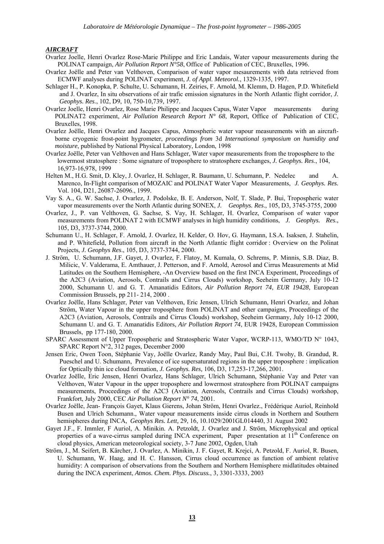#### *AIRCRAFT*

- Ovarlez Joelle, Henri Ovarlez Rose-Marie Philippe and Eric Landais, Water vapour measurements during the POLINAT campaign, *Air Pollution Report N°58*, Office of Publication of CEC, Bruxelles, 1996.
- Ovarlez Joëlle and Peter van Velthoven, Comparison of water vapor mesaurements with data retrieved from ECMWF analyses during POLINAT experiment, *J. of Appl. Meteorol.*, 1329-1335, 1997.
- Schlager H., P. Konopka, P. Schulte, U. Schumann, H. Zeiries, F. Arnold, M. Klemm, D. Hagen, P.D. Whitefield and J. Ovarlez, In situ observations of air trafic emission signatures in the North Atlantic flight corridor, *J. Geophys. Res*., 102, D9, 10, 750-10,739, 1997.
- Ovarlez Joelle, Henri Ovarlez, Rose Marie Philippe and Jacques Capus, Water Vapor measurements during POLINAT2 experiment, *Air Pollution Research Report N° 68*, Report, Office of Publication of CEC, Bruxelles, 1998.
- Ovarlez Joëlle, Henri Ovarlez and Jacques Capus, Atmospheric water vapour measurements with an aircraftborne cryogenic frost-point hygrometer, *proceedings from* 3d *International symposium on humidity and moisture*, published by National Physical Laboratory, London, 1998
- Ovarlez Joëlle, Peter van Velthoven and Hans Schlager, Water vapor measurements from the troposphere to the lowermost stratosphere : Some signature of troposphere to stratosphere exchanges, *J. Geophys. Res*., 104, 16,973-16,978, 1999
- Helten M., H.G. Smit, D. Kley, J. Ovarlez, H. Schlager, R. Baumann, U. Schumann, P. Nedelec and A. Marenco, In-Flight comparison of MOZAIC and POLINAT Water Vapor Measurements, *J. Geophys. Res.*  Vol. 104, D21, 26087-26096., 1999.
- Vay S. A., G. W. Sachse, J. Ovarlez, J. Podolske, B. E. Anderson, Nolf, T. Slade, P. Bui, Tropospheric water vapor measurements over the North Atlantic during SONEX, *J. Geophys. Res*., 105, D3, 3745-3755, 2000
- Ovarlez, J., P. van Velthoven, G. Sachse, S. Vay, H. Schlager, H. Ovarlez, Comparison of water vapor measurements from POLINAT 2 with ECMWF analyses in high humidity conditions, *J. Geophys. Res*., 105, D3, 3737-3744, 2000.
- Schumann U., H. Schlager, F. Arnold, J. Ovarlez, H. Kelder, O. Hov, G. Haymann, I.S.A. Isaksen, J. Stahelin, and P. Whitefield, Pollution from aircraft in the North Atlantic flight corridor : Overview on the Polinat Projects, *J. Geophys Res*., 105, D3, 3737-3744, 2000.
- J. Ström, U. Schumann, J.F. Gayet, J. Ovarlez, F. Flatoy, M. Kumala, O. Schrems, P. Minnis, S.B. Diaz, B. Milicic, V. Valderama, E. Amthauer, J. Petterson, and F. Arnold, Aerosol and Cirrus Measurements at Mid Latitudes on the Southern Hemisphere, -An Overview based on the first INCA Experiment, Proceedings of the A2C3 (Aviation, Aerosols, Contrails and Cirrus Clouds) workshop, Seeheim Germany, July 10-12 2000, Schumann U. and G. T. Amanatidis Editors, *Air Pollution Report 74*, *EUR 19428*, European Commission Brussels, pp 211- 214, 2000 .
- Ovarlez Joëlle, Hans Schlager, Peter van Velthoven, Eric Jensen, Ulrich Schumann, Henri Ovarlez, and Johan Ström, Water Vapour in the upper troposphere from POLINAT and other campaigns, Proceedings of the A2C3 (Aviation, Aerosols, Contrails and Cirrus Clouds) workshop, Seeheim Germany, July 10-12 2000, Schumann U. and G. T. Amanatidis Editors, *Air Pollution Report 74*, EUR 19428, European Commission Brussels, pp 177-180, 2000.
- SPARC Assessment of Upper Tropospheric and Stratospheric Water Vapor, WCRP-113, WMO/TD N° 1043, SPARC Report N°2, 312 pages, December 2000
- Jensen Eric, Owen Toon, Stéphanie Vay, Joëlle Ovarlez, Randy May, Paul Bui, C.H. Twohy, B. Grandud, R. Pueschel and U. Schumann, Prevalence of ice supersaturated regions in the upper troposphere : implication for Optically thin ice cloud formation, *J. Geophys. Res,* 106, D3, 17,253-17,266, 2001.
- Ovarlez Joëlle, Eric Jensen, Henri Ovarlez, Hans Schlager, Ulrich Schumann, Stéphanie Vay and Peter van Velthoven, Water Vapour in the upper troposphere and lowermost stratosphere from POLINAT campaigns measurements, Proceedings of the A2C3 (Aviation, Aerosols, Contrails and Cirrus Clouds) workshop, Frankfort, July 2000, CEC *Air Pollution Report N° 74*, 2001.
- Ovarlez Joëlle, Jean- François Gayet, Klaus Gierens, Johan Ström, Henri Ovarlez., Frédérique Auriol, Reinhold Busen and Ulrich Schumann., Water vapour measurements inside cirrus clouds in Northern and Southern hemispheres during INCA, *Geophys Res. Lett,* 29, 16, 10.1029/2001GL014440, 31 August 2002
- Gayet J.F., F. Immler, F Auriol, A. Minikin. A. Petzoldt, J. Ovarlez and J. Ström, Microphysical and optical properties of a wave-cirrus sampled during INCA experiment, Paper presentation at 11<sup>th</sup> Conference on cloud physics, American meteorological society, 3-7 June 2002, Ogden, Utah
- Ström, J., M. Seifert, B. Kärcher, J. Ovarlez, A. Minikin, J. F. Gayet, R. Krejci, A. Petzold, F. Auriol, R. Busen, U. Schumann, W. Haag, and H. C. Hansson, Cirrus cloud occurrence as function of ambient relative humidity: A comparison of observations from the Southern and Northern Hemisphere midlatitudes obtained during the INCA experiment, *Atmos. Chem. Phys. Discuss.*, 3, 3301-3333, 2003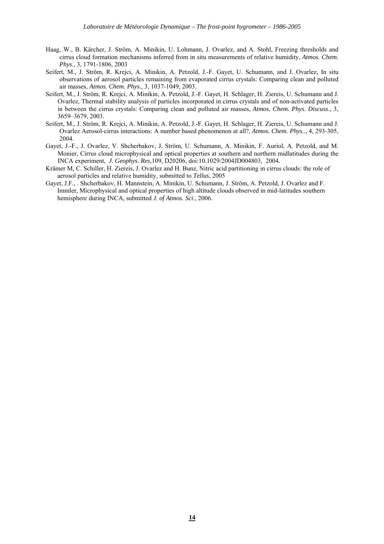- Haag, W., B. Kärcher, J. Ström, A. Minikin, U. Lohmann, J. Ovarlez, and A. Stohl, Freezing thresholds and cirrus cloud formation mechanisms inferred from in situ measurements of relative humidity, *Atmos. Chem. Phys.*, 3, 1791-1806, 2003
- Seifert, M., J. Ström, R. Krejci, A. Minikin, A. Petzold, J.-F. Gayet, U. Schumann, and J. Ovarlez, In situ observations of aerosol particles remaining from evaporated cirrus crystals: Comparing clean and polluted air masses, *Atmos. Chem. Phys.*, 3, 1037-1049, 2003.
- Seifert, M., J. Ström, R. Krejci, A. Minikin, A. Petzold, J.-F. Gayet, H. Schlager, H. Ziereis, U. Schumann and J. Ovarlez, Thermal stability analysis of particles incorporated in cirrus crystals and of non-activated particles in between the cirrus crystals: Comparing clean and polluted air masses, *Atmos. Chem. Phys. Discuss*., 3, 3659–3679, 2003.
- Seifert, M., J. Ström, R. Krejci, A. Minikin, A. Petzold, J.-F. Gayet, H. Schlager, H. Ziereis, U. Schumann and J. Ovarlez Aerosol-cirrus interactions: A number based phenomenon at all?, *Atmos. Chem. Phys.*., 4, 293-305, 2004.
- Gayet, J.-F., J. Ovarlez, V. Shcherbakov, J. Ström, U. Schumann, A. Minikin, F. Auriol, A. Petzold, and M. Monier, Cirrus cloud microphysical and optical properties at southern and northern midlatitudes during the INCA experiment, *J. Geophys. Res,*109, D20206, doi:10.1029/2004JD004803*,* 2004*.*
- Krämer M, C. Schiller, H. Ziereis, J. Ovarlez and H. Bunz, Nitric acid partitioning in cirrus clouds: the role of aerosol particles and relative humidity, submitted to *Tellus*, 2005
- Gayet, J.F., . Shcherbakov, H. Mannstein, A. Minikin, U. Schumann, J. Ström, A. Petzold, J. Ovarlez and F. Immler, Microphysical and optical properties of high altitude clouds observed in mid-latitudes southern hemisphere during INCA, submitted *J. of Atmos. Sci*., 2006.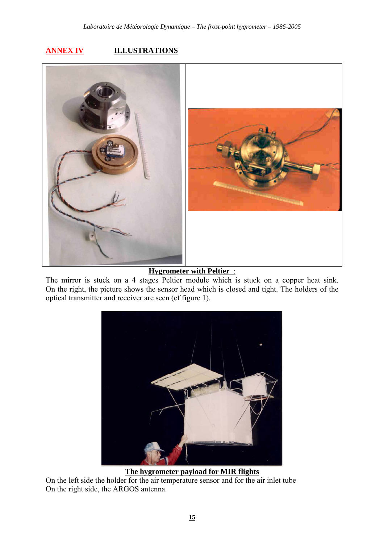## **ANNEX IV ILLUSTRATIONS**



**Hygrometer with Peltier** :

The mirror is stuck on a 4 stages Peltier module which is stuck on a copper heat sink. On the right, the picture shows the sensor head which is closed and tight. The holders of the optical transmitter and receiver are seen (cf figure 1).



**The hygrometer payload for MIR flights**

On the left side the holder for the air temperature sensor and for the air inlet tube On the right side, the ARGOS antenna.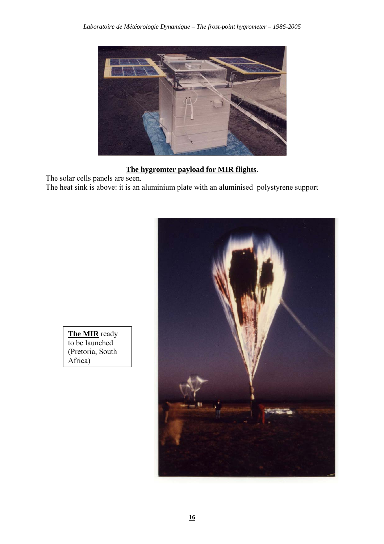

**The hygromter payload for MIR flights**.

The solar cells panels are seen. The heat sink is above: it is an aluminium plate with an aluminised polystyrene support



**The MIR** ready to be launched (Pretoria, South Africa)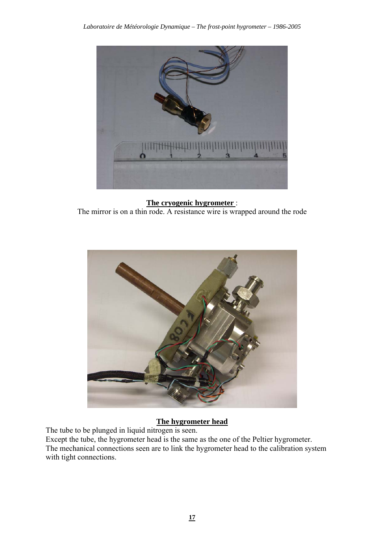

**The cryogenic hygrometer** : The mirror is on a thin rode. A resistance wire is wrapped around the rode



## **The hygrometer head**

The tube to be plunged in liquid nitrogen is seen.

Except the tube, the hygrometer head is the same as the one of the Peltier hygrometer. The mechanical connections seen are to link the hygrometer head to the calibration system with tight connections.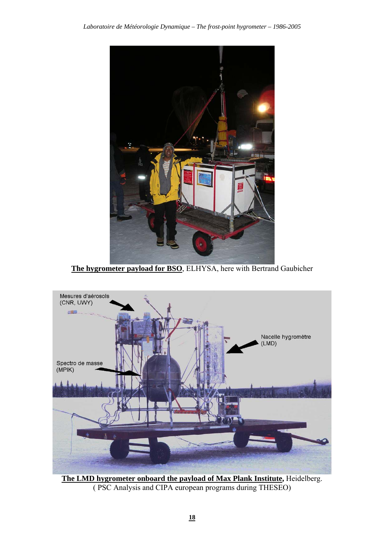

**The hygrometer payload for BSO**, ELHYSA, here with Bertrand Gaubicher



**The LMD hygrometer onboard the payload of Max Plank Institute,** Heidelberg. ( PSC Analysis and CIPA european programs during THESEO)